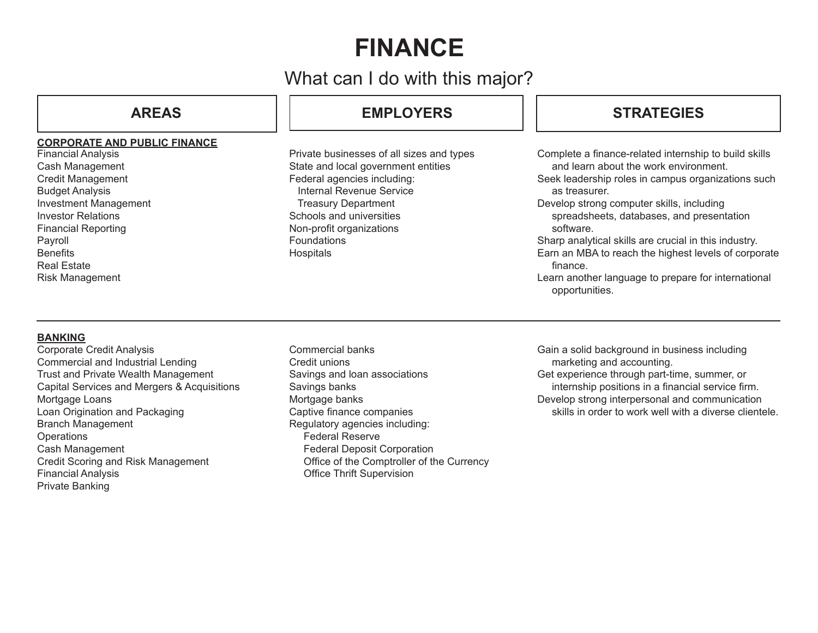# **FINANCE**

## What can I do with this major?

## **CORPORATE AND PUBLIC FINANCE**

Financial Analysis Cash Management Credit Management Budget Analysis Investment Management Investor Relations Financial Reporting Payroll **Benefits** Real Estate Risk Management

## **AREAS EMPLOYERS**

Private businesses of all sizes and types State and local government entities Federal agencies including: Internal Revenue Service Treasury Department Schools and universities Non-profit organizations **Foundations Hospitals** 

## **STRATEGIES**

Complete a finance-related internship to build skills and learn about the work environment.

Seek leadership roles in campus organizations such as treasurer.

Develop strong computer skills, including spreadsheets, databases, and presentation software.

Sharp analytical skills are crucial in this industry. Earn an MBA to reach the highest levels of corporate

finance.

Learn another language to prepare for international opportunities.

## **BANKING**

- Corporate Credit Analysis Commercial and Industrial Lending Trust and Private Wealth Management Capital Services and Mergers & Acquisitions Mortgage Loans Loan Origination and Packaging Branch Management **Operations** Cash Management Credit Scoring and Risk Management Financial Analysis Private Banking
- Commercial banks Credit unions Savings and loan associations Savings banks Mortgage banks Captive finance companies Regulatory agencies including: Federal Reserve Federal Deposit Corporation Office of the Comptroller of the Currency Office Thrift Supervision

Gain a solid background in business including marketing and accounting. Get experience through part-time, summer, or internship positions in a financial service firm.

Develop strong interpersonal and communication skills in order to work well with a diverse clientele.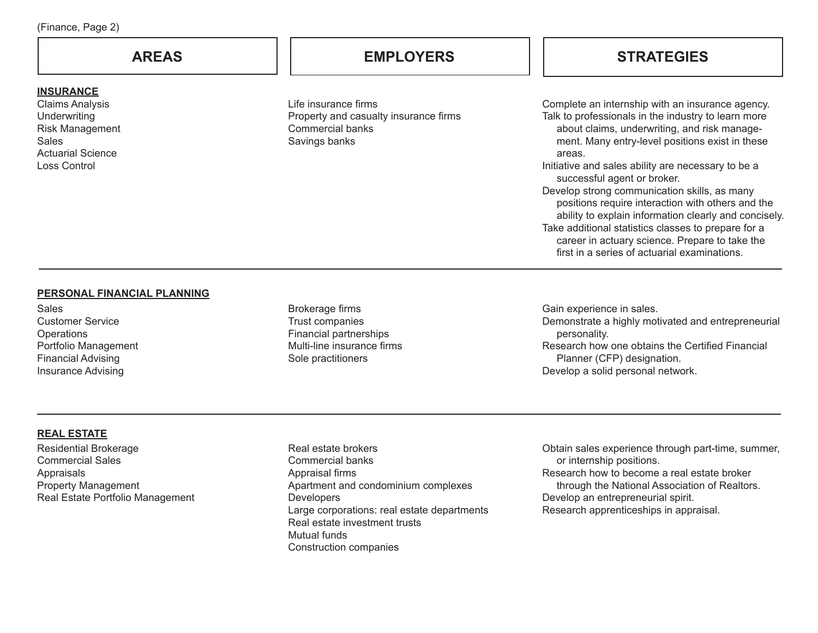### **INSURANCE**

Claims Analysis **Underwriting** Risk Management **Sales** Actuarial Science Loss Control

Life insurance firms Property and casualty insurance firms Commercial banks Savings banks

## **AREAS EMPLOYERS STRATEGIES**

Complete an internship with an insurance agency. Talk to professionals in the industry to learn more about claims, underwriting, and risk management. Many entry-level positions exist in these areas.

Initiative and sales ability are necessary to be a successful agent or broker.

Develop strong communication skills, as many positions require interaction with others and the ability to explain information clearly and concisely. Take additional statistics classes to prepare for a

career in actuary science. Prepare to take the first in a series of actuarial examinations.

#### **PERSONAL FINANCIAL PLANNING**

**Sales** Customer Service **Operations** Portfolio Management Financial Advising Insurance Advising

Brokerage firms Trust companies Financial partnerships Multi-line insurance firms Sole practitioners

Gain experience in sales. Demonstrate a highly motivated and entrepreneurial personality. Research how one obtains the Certified Financial Planner (CFP) designation. Develop a solid personal network.

### **REAL ESTATE**

Residential Brokerage Commercial Sales Appraisals Property Management Real Estate Portfolio Management

Real estate brokers Commercial banks Appraisal firms Apartment and condominium complexes **Developers** Large corporations: real estate departments Real estate investment trusts Mutual funds Construction companies

Obtain sales experience through part-time, summer, or internship positions. Research how to become a real estate broker through the National Association of Realtors. Develop an entrepreneurial spirit.

Research apprenticeships in appraisal.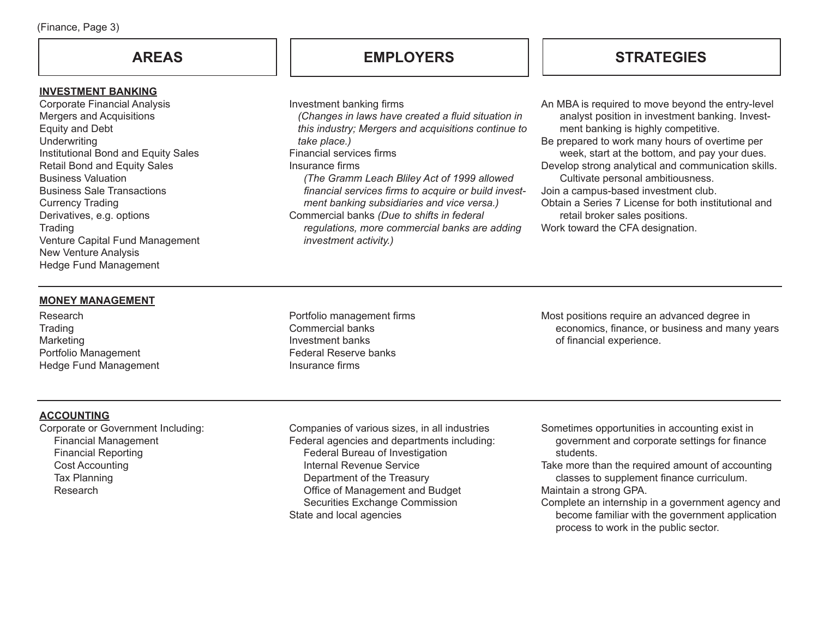#### **INVESTMENT BANKING**

Corporate Financial Analysis Mergers and Acquisitions Equity and Debt **Underwriting** Institutional Bond and Equity Sales Retail Bond and Equity Sales Business Valuation Business Sale Transactions Currency Trading Derivatives, e.g. options **Trading** Venture Capital Fund Management New Venture Analysis Hedge Fund Management

## **AREAS EMPLOYERS**

Investment banking firms

 *(Changes in laws have created a fluid situation in this industry; Mergers and acquisitions continue to take place.)*

Financial services firms

Insurance firms

 *(The Gramm Leach Bliley Act of 1999 allowed financial services firms to acquire or build invest ment banking subsidiaries and vice versa.)* Commercial banks *(Due to shifts in federal regulations, more commercial banks are adding investment activity.)*

## **STRATEGIES**

An MBA is required to move beyond the entry-level analyst position in investment banking. Investment banking is highly competitive.

Be prepared to work many hours of overtime per week, start at the bottom, and pay your dues. Develop strong analytical and communication skills.

Cultivate personal ambitiousness.

Join a campus-based investment club.

Obtain a Series 7 License for both institutional and retail broker sales positions.

Work toward the CFA designation.

### **MONEY MANAGEMENT**

Research **Trading** Marketing Portfolio Management Hedge Fund Management Portfolio management firms Commercial banks Investment banks Federal Reserve banks Insurance firms

Most positions require an advanced degree in economics, finance, or business and many years of financial experience.

## **ACCOUNTING**

Corporate or Government Including: Financial Management Financial Reporting Cost Accounting Tax Planning Research

Companies of various sizes, in all industries Federal agencies and departments including: Federal Bureau of Investigation Internal Revenue Service Department of the Treasury Office of Management and Budget Securities Exchange Commission State and local agencies

Sometimes opportunities in accounting exist in government and corporate settings for finance students.

Take more than the required amount of accounting classes to supplement finance curriculum. Maintain a strong GPA.

Complete an internship in a government agency and become familiar with the government application process to work in the public sector.